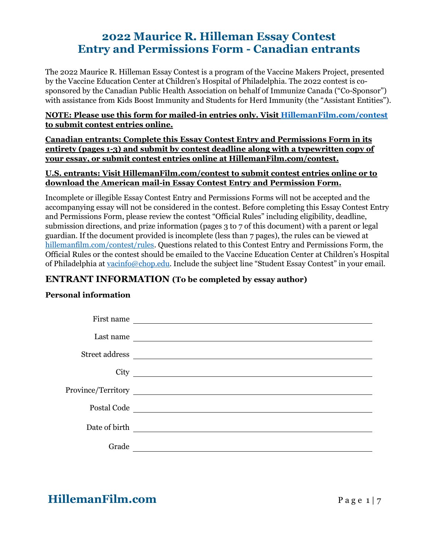## **2022 Maurice R. Hilleman Essay Contest Entry and Permissions Form - Canadian entrants**

The 2022 Maurice R. Hilleman Essay Contest is a program of the Vaccine Makers Project, presented by the Vaccine Education Center at Children's Hospital of Philadelphia. The 2022 contest is cosponsored by the Canadian Public Health Association on behalf of Immunize Canada ("Co-Sponsor") with assistance from Kids Boost Immunity and Students for Herd Immunity (the "Assistant Entities").

### **NOTE: Please use this form for mailed-in entries only. Visit [HillemanFilm.com/contest](https://hillemanfilm.com/contest) to submit contest entries online.**

**Canadian entrants: Complete this Essay Contest Entry and Permissions Form in its entirety (pages 1-3) and submit by contest deadline along with a typewritten copy of your essay, or submit contest entries online at HillemanFilm.com/contest.**

### **U.S. entrants: Visit HillemanFilm.com/contest to submit contest entries online or to download the American mail-in Essay Contest Entry and Permission Form.**

Incomplete or illegible Essay Contest Entry and Permissions Forms will not be accepted and the accompanying essay will not be considered in the contest. Before completing this Essay Contest Entry and Permissions Form, please review the contest "Official Rules" including eligibility, deadline, submission directions, and prize information (pages 3 to 7 of this document) with a parent or legal guardian. If the document provided is incomplete (less than 7 pages), the rules can be viewed at [hillemanfilm.com/contest/rules.](https://hillemanfilm.com/contest/rules) Questions related to this Contest Entry and Permissions Form, the Official Rules or the contest should be emailed to the Vaccine Education Center at Children's Hospital of Philadelphia at [vacinfo@chop.edu](mailto:vacinfo@chop.edu). Include the subject line "Student Essay Contest" in your email.

### **ENTRANT INFORMATION (To be completed by essay author)**

### **Personal information**

| First name     | <u> 1989 - Johann Stein, marwolaethau a bhann an t-Amhair an t-Amhair an t-Amhair an t-Amhair an t-Amhair an t-A</u> |
|----------------|----------------------------------------------------------------------------------------------------------------------|
| Last name      | <u> 1980 - Johann Barn, mars ann an t-Amhain Aonaich an t-Aonaich an t-Aonaich ann an t-Aonaich ann an t-Aonaich</u> |
| Street address | <u> 1989 - Johann Stein, mars an deutscher Stein und der Stein und der Stein und der Stein und der Stein und der</u> |
| City           | <u> 1989 - Johann Stein, fransk politik (d. 1989)</u>                                                                |
|                |                                                                                                                      |
| Postal Code    | <u> 1980 - Andrea Stadt Britain, fransk politik (d. 1980)</u>                                                        |
| Date of birth  |                                                                                                                      |
|                |                                                                                                                      |
| Grade          |                                                                                                                      |

**HillemanFilm.com** Page 1 | 7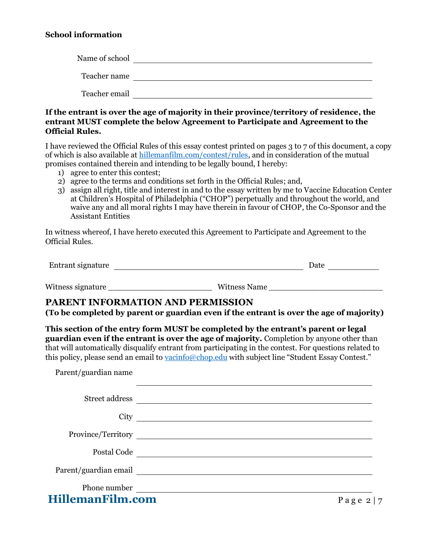### **School information**

| Name of school |  |
|----------------|--|
| Teacher name   |  |
| Teacher email  |  |

**If the entrant is over the age of majority in their province/territory of residence, the entrant MUST complete the below Agreement to Participate and Agreement to the Official Rules.**

I have reviewed the Official Rules of this essay contest printed on pages 3 to 7 of this document, a copy of which is also available at [hillemanfilm.com/contest/rules,](https://hillemanfilm.com/contest/rules) and in consideration of the mutual promises contained therein and intending to be legally bound, I hereby:

- 1) agree to enter this contest;
- 2) agree to the terms and conditions set forth in the Official Rules; and,
- 3) assign all right, title and interest in and to the essay written by me to Vaccine Education Center at Children's Hospital of Philadelphia ("CHOP") perpetually and throughout the world, and waive any and all moral rights I may have therein in favour of CHOP, the Co-Sponsor and the Assistant Entities

In witness whereof, I have hereto executed this Agreement to Participate and Agreement to the Official Rules.

| Entrant signature | )ate |
|-------------------|------|
|                   |      |

## Witness signature witness Name witness Name

### **PARENT INFORMATION AND PERMISSION**

**(To be completed by parent or guardian even if the entrant is over the age of majority)** 

**This section of the entry form MUST be completed by the entrant's parent or legal guardian even if the entrant is over the age of majority.** Completion by anyone other than that will automatically disqualify entrant from participating in the contest. For questions related to this policy, please send an email to [vacinfo@chop.edu](mailto:vacinfo@chop.edu) with subject line "Student Essay Contest."

Parent/guardian name

|                           | Street address |                     |
|---------------------------|----------------|---------------------|
| City                      |                |                     |
|                           |                |                     |
| Postal Code               |                |                     |
|                           |                |                     |
| Phone number <u>_____</u> |                |                     |
| <b>HillemanFilm.com</b>   |                | Page 2<br>$\vert$ 7 |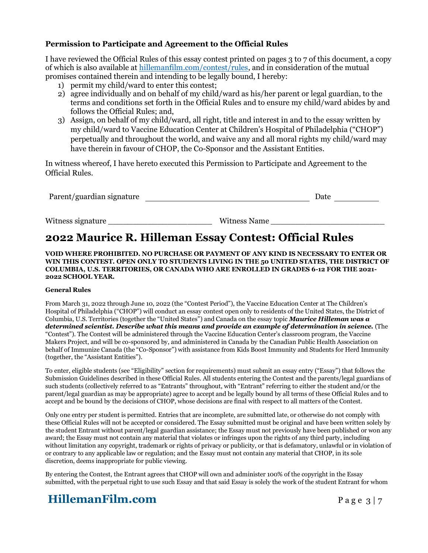### **Permission to Participate and Agreement to the Official Rules**

I have reviewed the Official Rules of this essay contest printed on pages 3 to 7 of this document, a copy of which is also available at [hillemanfilm.com/contest/rules,](https://hillemanfilm.com/contest/rules) and in consideration of the mutual promises contained therein and intending to be legally bound, I hereby:

- 1) permit my child/ward to enter this contest;
- 2) agree individually and on behalf of my child/ward as his/her parent or legal guardian, to the terms and conditions set forth in the Official Rules and to ensure my child/ward abides by and follows the Official Rules; and,
- 3) Assign, on behalf of my child/ward, all right, title and interest in and to the essay written by my child/ward to Vaccine Education Center at Children's Hospital of Philadelphia ("CHOP") perpetually and throughout the world, and waive any and all moral rights my child/ward may have therein in favour of CHOP, the Co-Sponsor and the Assistant Entities.

In witness whereof, I have hereto executed this Permission to Participate and Agreement to the Official Rules.

| Parent/guardian signature | Date |  |  |
|---------------------------|------|--|--|
|                           |      |  |  |

Witness signature \_\_\_\_\_\_\_\_\_\_\_\_\_\_\_\_\_\_\_\_\_ Witness Name \_\_\_\_\_\_\_\_\_\_\_\_\_\_\_\_\_\_\_\_\_\_\_

## **2022 Maurice R. Hilleman Essay Contest: Official Rules**

**VOID WHERE PROHIBITED. NO PURCHASE OR PAYMENT OF ANY KIND IS NECESSARY TO ENTER OR WIN THIS CONTEST. OPEN ONLY TO STUDENTS LIVING IN THE 50 UNITED STATES, THE DISTRICT OF COLUMBIA, U.S. TERRITORIES, OR CANADA WHO ARE ENROLLED IN GRADES 6-12 FOR THE 2021- 2022 SCHOOL YEAR.**

#### **General Rules**

From March 31, 2022 through June 10, 2022 (the "Contest Period"), the Vaccine Education Center at The Children's Hospital of Philadelphia ("CHOP") will conduct an essay contest open only to residents of the United States, the District of Columbia, U.S. Territories (together the "United States") and Canada on the essay topic *Maurice Hilleman was a determined scientist. Describe what this means and provide an example of determination in science.* (The "Contest"). The Contest will be administered through the Vaccine Education Center's classroom program, the Vaccine Makers Project, and will be co-sponsored by, and administered in Canada by the Canadian Public Health Association on behalf of Immunize Canada (the "Co-Sponsor") with assistance from Kids Boost Immunity and Students for Herd Immunity (together, the "Assistant Entities").

To enter, eligible students (see "Eligibility" section for requirements) must submit an essay entry ("Essay") that follows the Submission Guidelines described in these Official Rules. All students entering the Contest and the parents/legal guardians of such students (collectively referred to as "Entrants" throughout, with "Entrant" referring to either the student and/or the parent/legal guardian as may be appropriate) agree to accept and be legally bound by all terms of these Official Rules and to accept and be bound by the decisions of CHOP, whose decisions are final with respect to all matters of the Contest.

Only one entry per student is permitted. Entries that are incomplete, are submitted late, or otherwise do not comply with these Official Rules will not be accepted or considered. The Essay submitted must be original and have been written solely by the student Entrant without parent/legal guardian assistance; the Essay must not previously have been published or won any award; the Essay must not contain any material that violates or infringes upon the rights of any third party, including without limitation any copyright, trademark or rights of privacy or publicity, or that is defamatory, unlawful or in violation of or contrary to any applicable law or regulation; and the Essay must not contain any material that CHOP, in its sole discretion, deems inappropriate for public viewing.

By entering the Contest, the Entrant agrees that CHOP will own and administer 100% of the copyright in the Essay submitted, with the perpetual right to use such Essay and that said Essay is solely the work of the student Entrant for whom

# **HillemanFilm.com** Page 3 | 7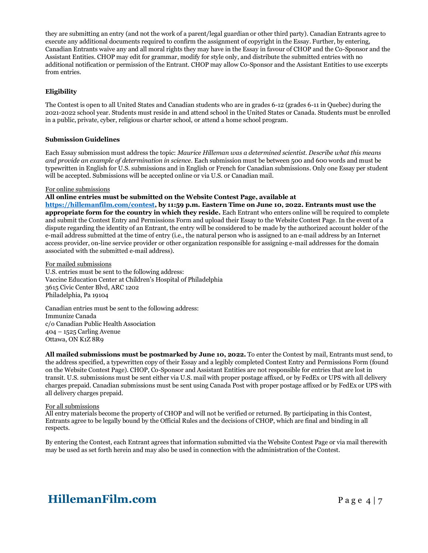they are submitting an entry (and not the work of a parent/legal guardian or other third party). Canadian Entrants agree to execute any additional documents required to confirm the assignment of copyright in the Essay. Further, by entering, Canadian Entrants waive any and all moral rights they may have in the Essay in favour of CHOP and the Co-Sponsor and the Assistant Entities. CHOP may edit for grammar, modify for style only, and distribute the submitted entries with no additional notification or permission of the Entrant. CHOP may allow Co-Sponsor and the Assistant Entities to use excerpts from entries.

#### **Eligibility**

The Contest is open to all United States and Canadian students who are in grades 6-12 (grades 6-11 in Quebec) during the 2021-2022 school year. Students must reside in and attend school in the United States or Canada. Students must be enrolled in a public, private, cyber, religious or charter school, or attend a home school program.

#### **Submission Guidelines**

Each Essay submission must address the topic: *Maurice Hilleman was a determined scientist. Describe what this means and provide an example of determination in science.* Each submission must be between 500 and 600 words and must be typewritten in English for U.S. submissions and in English or French for Canadian submissions. Only one Essay per student will be accepted. Submissions will be accepted online or via U.S. or Canadian mail.

#### For online submissions

#### **All online entries must be submitted on the Website Contest Page, available at**

**[https://hillemanfilm.com/contest,](https://hillemanfilm.com/contest) by 11:59 p.m. Eastern Time on June 10, 2022. Entrants must use the appropriate form for the country in which they reside.** Each Entrant who enters online will be required to complete and submit the Contest Entry and Permissions Form and upload their Essay to the Website Contest Page. In the event of a dispute regarding the identity of an Entrant, the entry will be considered to be made by the authorized account holder of the e-mail address submitted at the time of entry (i.e., the natural person who is assigned to an e-mail address by an Internet access provider, on-line service provider or other organization responsible for assigning e-mail addresses for the domain associated with the submitted e-mail address).

For mailed submissions

U.S. entries must be sent to the following address: Vaccine Education Center at Children's Hospital of Philadelphia 3615 Civic Center Blvd, ARC 1202 Philadelphia, Pa 19104

Canadian entries must be sent to the following address: Immunize Canada c/o Canadian Public Health Association 404 – 1525 Carling Avenue Ottawa, ON K1Z 8R9

**All mailed submissions must be postmarked by June 10, 2022.** To enter the Contest by mail, Entrants must send, to the address specified, a typewritten copy of their Essay and a legibly completed Contest Entry and Permissions Form (found on the Website Contest Page). CHOP, Co-Sponsor and Assistant Entities are not responsible for entries that are lost in transit. U.S. submissions must be sent either via U.S. mail with proper postage affixed, or by FedEx or UPS with all delivery charges prepaid. Canadian submissions must be sent using Canada Post with proper postage affixed or by FedEx or UPS with all delivery charges prepaid.

#### For all submissions

All entry materials become the property of CHOP and will not be verified or returned. By participating in this Contest, Entrants agree to be legally bound by the Official Rules and the decisions of CHOP, which are final and binding in all respects.

By entering the Contest, each Entrant agrees that information submitted via the Website Contest Page or via mail therewith may be used as set forth herein and may also be used in connection with the administration of the Contest.

# **HillemanFilm.com** Page 4 | 7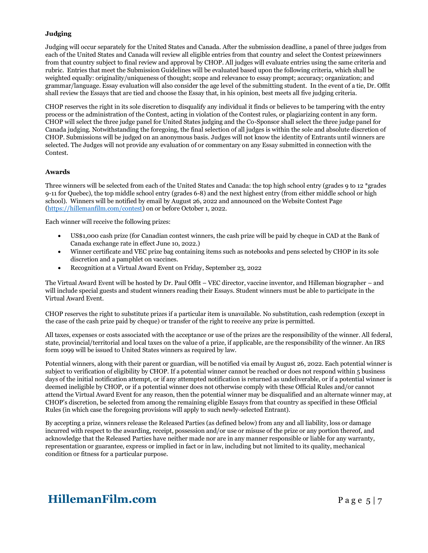#### **Judging**

Judging will occur separately for the United States and Canada. After the submission deadline, a panel of three judges from each of the United States and Canada will review all eligible entries from that country and select the Contest prizewinners from that country subject to final review and approval by CHOP. All judges will evaluate entries using the same criteria and rubric. Entries that meet the Submission Guidelines will be evaluated based upon the following criteria, which shall be weighted equally: originality/uniqueness of thought; scope and relevance to essay prompt; accuracy; organization; and grammar/language. Essay evaluation will also consider the age level of the submitting student. In the event of a tie, Dr. Offit shall review the Essays that are tied and choose the Essay that, in his opinion, best meets all five judging criteria.

CHOP reserves the right in its sole discretion to disqualify any individual it finds or believes to be tampering with the entry process or the administration of the Contest, acting in violation of the Contest rules, or plagiarizing content in any form. CHOP will select the three judge panel for United States judging and the Co-Sponsor shall select the three judge panel for Canada judging. Notwithstanding the foregoing, the final selection of all judges is within the sole and absolute discretion of CHOP. Submissions will be judged on an anonymous basis. Judges will not know the identity of Entrants until winners are selected. The Judges will not provide any evaluation of or commentary on any Essay submitted in connection with the Contest.

#### **Awards**

Three winners will be selected from each of the United States and Canada: the top high school entry (grades 9 to 12 \*grades 9-11 for Quebec), the top middle school entry (grades 6-8) and the next highest entry (from either middle school or high school). Winners will be notified by email by August 26, 2022 and announced on the Website Contest Page [\(https://hillemanfilm.com/contest\)](https://hillemanfilm.com/contest) on or before October 1, 2022.

Each winner will receive the following prizes:

- US\$1,000 cash prize (for Canadian contest winners, the cash prize will be paid by cheque in CAD at the Bank of Canada exchange rate in effect June 10, 2022.)
- Winner certificate and VEC prize bag containing items such as notebooks and pens selected by CHOP in its sole discretion and a pamphlet on vaccines.
- Recognition at a Virtual Award Event on Friday, September 23, 2022

The Virtual Award Event will be hosted by Dr. Paul Offit – VEC director, vaccine inventor, and Hilleman biographer – and will include special guests and student winners reading their Essays. Student winners must be able to participate in the Virtual Award Event.

CHOP reserves the right to substitute prizes if a particular item is unavailable. No substitution, cash redemption (except in the case of the cash prize paid by cheque) or transfer of the right to receive any prize is permitted.

All taxes, expenses or costs associated with the acceptance or use of the prizes are the responsibility of the winner. All federal, state, provincial/territorial and local taxes on the value of a prize, if applicable, are the responsibility of the winner. An IRS form 1099 will be issued to United States winners as required by law.

Potential winners, along with their parent or guardian, will be notified via email by August 26, 2022. Each potential winner is subject to verification of eligibility by CHOP. If a potential winner cannot be reached or does not respond within 5 business days of the initial notification attempt, or if any attempted notification is returned as undeliverable, or if a potential winner is deemed ineligible by CHOP, or if a potential winner does not otherwise comply with these Official Rules and/or cannot attend the Virtual Award Event for any reason, then the potential winner may be disqualified and an alternate winner may, at CHOP's discretion, be selected from among the remaining eligible Essays from that country as specified in these Official Rules (in which case the foregoing provisions will apply to such newly-selected Entrant).

By accepting a prize, winners release the Released Parties (as defined below) from any and all liability, loss or damage incurred with respect to the awarding, receipt, possession and/or use or misuse of the prize or any portion thereof, and acknowledge that the Released Parties have neither made nor are in any manner responsible or liable for any warranty, representation or guarantee, express or implied in fact or in law, including but not limited to its quality, mechanical condition or fitness for a particular purpose.

## **HillemanFilm.com** Page 5 | 7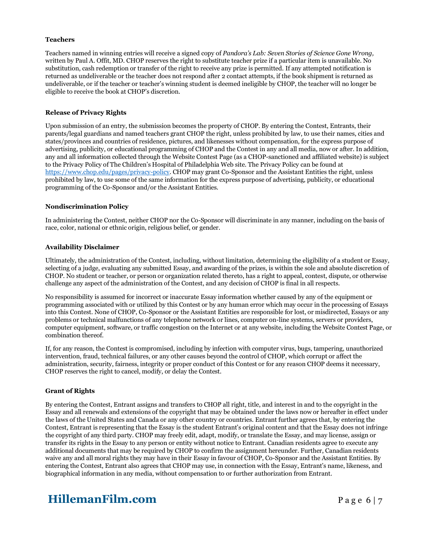#### **Teachers**

Teachers named in winning entries will receive a signed copy of *Pandora's Lab: Seven Stories of Science Gone Wrong,* written by Paul A. Offit, MD. CHOP reserves the right to substitute teacher prize if a particular item is unavailable. No substitution, cash redemption or transfer of the right to receive any prize is permitted. If any attempted notification is returned as undeliverable or the teacher does not respond after 2 contact attempts, if the book shipment is returned as undeliverable, or if the teacher or teacher's winning student is deemed ineligible by CHOP, the teacher will no longer be eligible to receive the book at CHOP's discretion.

#### **Release of Privacy Rights**

Upon submission of an entry, the submission becomes the property of CHOP. By entering the Contest, Entrants, their parents/legal guardians and named teachers grant CHOP the right, unless prohibited by law, to use their names, cities and states/provinces and countries of residence, pictures, and likenesses without compensation, for the express purpose of advertising, publicity, or educational programming of CHOP and the Contest in any and all media, now or after. In addition, any and all information collected through the Website Contest Page (as a CHOP-sanctioned and affiliated website) is subject to the Privacy Policy of The Children's Hospital of Philadelphia Web site. The Privacy Policy can be found at [https://www.chop.edu/pages/privacy-policy.](https://www.chop.edu/pages/privacy-policy) CHOP may grant Co-Sponsor and the Assistant Entities the right, unless prohibited by law, to use some of the same information for the express purpose of advertising, publicity, or educational programming of the Co-Sponsor and/or the Assistant Entities.

#### **Nondiscrimination Policy**

In administering the Contest, neither CHOP nor the Co-Sponsor will discriminate in any manner, including on the basis of race, color, national or ethnic origin, religious belief, or gender.

#### **Availability Disclaimer**

Ultimately, the administration of the Contest, including, without limitation, determining the eligibility of a student or Essay, selecting of a judge, evaluating any submitted Essay, and awarding of the prizes, is within the sole and absolute discretion of CHOP. No student or teacher, or person or organization related thereto, has a right to appeal, contest, dispute, or otherwise challenge any aspect of the administration of the Contest, and any decision of CHOP is final in all respects.

No responsibility is assumed for incorrect or inaccurate Essay information whether caused by any of the equipment or programming associated with or utilized by this Contest or by any human error which may occur in the processing of Essays into this Contest. None of CHOP, Co-Sponsor or the Assistant Entities are responsible for lost, or misdirected, Essays or any problems or technical malfunctions of any telephone network or lines, computer on-line systems, servers or providers, computer equipment, software, or traffic congestion on the Internet or at any website, including the Website Contest Page, or combination thereof.

If, for any reason, the Contest is compromised, including by infection with computer virus, bugs, tampering, unauthorized intervention, fraud, technical failures, or any other causes beyond the control of CHOP, which corrupt or affect the administration, security, fairness, integrity or proper conduct of this Contest or for any reason CHOP deems it necessary, CHOP reserves the right to cancel, modify, or delay the Contest.

#### **Grant of Rights**

By entering the Contest, Entrant assigns and transfers to CHOP all right, title, and interest in and to the copyright in the Essay and all renewals and extensions of the copyright that may be obtained under the laws now or hereafter in effect under the laws of the United States and Canada or any other country or countries. Entrant further agrees that, by entering the Contest, Entrant is representing that the Essay is the student Entrant's original content and that the Essay does not infringe the copyright of any third party. CHOP may freely edit, adapt, modify, or translate the Essay, and may license, assign or transfer its rights in the Essay to any person or entity without notice to Entrant. Canadian residents agree to execute any additional documents that may be required by CHOP to confirm the assignment hereunder. Further, Canadian residents waive any and all moral rights they may have in their Essay in favour of CHOP, Co-Sponsor and the Assistant Entities. By entering the Contest, Entrant also agrees that CHOP may use, in connection with the Essay, Entrant's name, likeness, and biographical information in any media, without compensation to or further authorization from Entrant.

## **HillemanFilm.com** Page 6 | 7